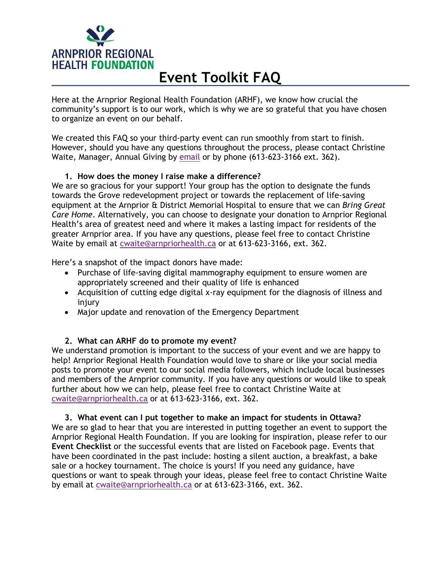

# **Event Toolkit FAQ**

Here at the Arnprior Regional Health Foundation (ARHF), we know how crucial the community's support is to our work, which is why we are so grateful that you have chosen to organize an event on our behalf.

We created this FAQ so your third-party event can run smoothly from start to finish. However, should you have any questions throughout the process, please contact Christine Waite, Manager, Annual Giving by email or by phone (613-623-3166 ext. 362).

## **1. How does the money I raise make a difference?**

We are so gracious for your support! Your group has the option to designate the funds towards the Grove redevelopment project or towards the replacement of life-saving equipment at the Arnprior & District Memorial Hospital to ensure that we can *Bring Great Care Home*. Alternatively, you can choose to designate your donation to Arnprior Regional Health's area of greatest need and where it makes a lasting impact for residents of the greater Arnprior area. If you have any questions, please feel free to contact Christine Waite by email at cwaite@arnpriorhealth.ca or at 613-623-3166, ext. 362.

Here's a snapshot of the impact donors have made:

- Purchase of life-saving digital mammography equipment to ensure women are appropriately screened and their quality of life is enhanced
- Acquisition of cutting edge digital x-ray equipment for the diagnosis of illness and injury
- Major update and renovation of the Emergency Department

## **2. What can ARHF do to promote my event?**

We understand promotion is important to the success of your event and we are happy to help! Arnprior Regional Health Foundation would love to share or like your social media posts to promote your event to our social media followers, which include local businesses and members of the Arnprior community. If you have any questions or would like to speak further about how we can help, please feel free to contact Christine Waite at cwaite@arnpriorhealth.ca or at 613-623-3166, ext. 362.

#### **3. What event can I put together to make an impact for students in Ottawa?**

We are so glad to hear that you are interested in putting together an event to support the Arnprior Regional Health Foundation. If you are looking for inspiration, please refer to our **Event Checklist** or the successful events that are listed on Facebook page. Events that have been coordinated in the past include: hosting a silent auction, a breakfast, a bake sale or a hockey tournament. The choice is yours! If you need any guidance, have questions or want to speak through your ideas, please feel free to contact Christine Waite by email at cwaite@arnpriorhealth.ca or at 613-623-3166, ext. 362.